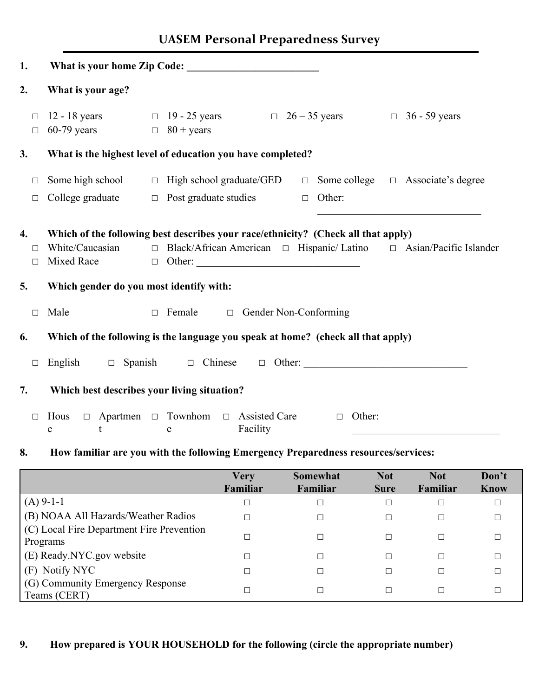### **UASEM Personal Preparedness Survey**

| 1.                     |                                                                                  |  |                                                                                                                                                          |  |                  |  |                                               |  |
|------------------------|----------------------------------------------------------------------------------|--|----------------------------------------------------------------------------------------------------------------------------------------------------------|--|------------------|--|-----------------------------------------------|--|
| 2.                     | What is your age?                                                                |  |                                                                                                                                                          |  |                  |  |                                               |  |
| $\Box$<br>$\Box$       | $60-79$ years                                                                    |  | 12 - 18 years $\Box$ 19 - 25 years $\Box$ 26 - 35 years<br>$\Box$ 80 + years                                                                             |  |                  |  | $\Box$ 36 - 59 years                          |  |
| 3.                     |                                                                                  |  | What is the highest level of education you have completed?                                                                                               |  |                  |  |                                               |  |
| $\Box$<br>$\Box$       | Some high school<br>College graduate                                             |  | $\Box$ High school graduate/GED<br>$\Box$ Post graduate studies                                                                                          |  | $\Box$ Other:    |  | $\Box$ Some college $\Box$ Associate's degree |  |
| 4.<br>$\Box$<br>$\Box$ | White/Caucasian<br>Mixed Race                                                    |  | Which of the following best describes your race/ethnicity? (Check all that apply)<br>□ Black/African American □ Hispanic/Latino □ Asian/Pacific Islander |  |                  |  |                                               |  |
| 5.                     | Which gender do you most identify with:                                          |  |                                                                                                                                                          |  |                  |  |                                               |  |
| $\Box$                 | Male<br>$\Box$ Gender Non-Conforming<br>$\Box$ Female                            |  |                                                                                                                                                          |  |                  |  |                                               |  |
| 6.                     | Which of the following is the language you speak at home? (check all that apply) |  |                                                                                                                                                          |  |                  |  |                                               |  |
| $\Box$                 | $\Box$ Spanish<br>English                                                        |  | $\Box$ Chinese $\Box$ Other:                                                                                                                             |  |                  |  |                                               |  |
| 7.                     | Which best describes your living situation?                                      |  |                                                                                                                                                          |  |                  |  |                                               |  |
| $\Box$                 | Hous<br>t<br>e                                                                   |  | $\Box$ Apartmen $\Box$ Townhom $\Box$ Assisted Care<br>Facility<br>e                                                                                     |  | Other:<br>$\Box$ |  |                                               |  |

#### **8. How familiar are you with the following Emergency Preparedness resources/services:**

|                                                       | <b>Very</b><br>Familiar | Somewhat<br>Familiar | <b>Not</b><br><b>Sure</b> | <b>Not</b><br>Familiar | Don't<br><b>Know</b> |
|-------------------------------------------------------|-------------------------|----------------------|---------------------------|------------------------|----------------------|
| $(A)$ 9-1-1                                           | □                       | □                    | $\Box$                    | ⊏                      |                      |
| (B) NOAA All Hazards/Weather Radios                   | П                       | $\Box$               | □                         | ⊏                      |                      |
| (C) Local Fire Department Fire Prevention<br>Programs |                         | П                    | □                         | $\Box$                 |                      |
| (E) Ready.NYC.gov website                             | □                       | П                    | П                         | Г                      |                      |
| (F) Notify NYC                                        |                         | П                    | $\Box$                    | г                      |                      |
| (G) Community Emergency Response<br>Teams (CERT)      | ㄱ                       | □                    | □                         | П                      |                      |

#### **9. How prepared is YOUR HOUSEHOLD for the following (circle the appropriate number)**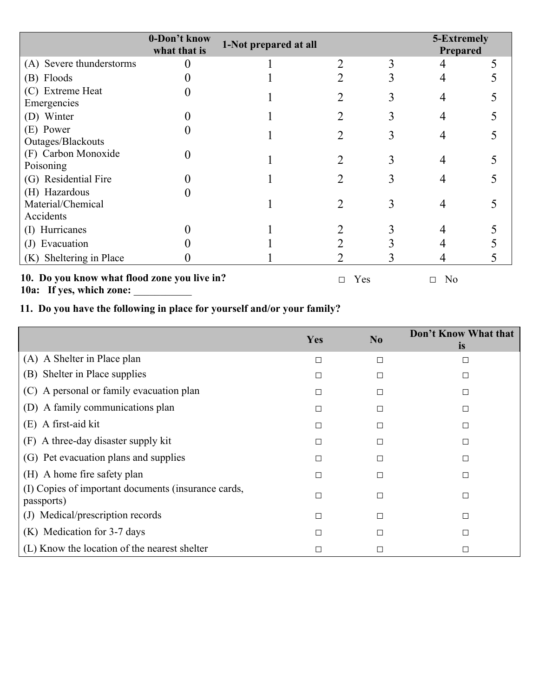|                                                 | 0-Don't know<br>what that is | 1-Not prepared at all |  | 5-Extremely<br>Prepared |  |
|-------------------------------------------------|------------------------------|-----------------------|--|-------------------------|--|
| (A) Severe thunderstorms                        |                              |                       |  |                         |  |
| (B) Floods                                      |                              |                       |  |                         |  |
| (C) Extreme Heat<br>Emergencies                 |                              |                       |  |                         |  |
| (D) Winter                                      |                              |                       |  |                         |  |
| (E) Power<br>Outages/Blackouts                  |                              |                       |  |                         |  |
| (F) Carbon Monoxide<br>Poisoning                |                              |                       |  |                         |  |
| (G) Residential Fire                            |                              |                       |  |                         |  |
| (H) Hazardous<br>Material/Chemical<br>Accidents |                              |                       |  |                         |  |
| (I) Hurricanes                                  |                              |                       |  |                         |  |
| (J) Evacuation                                  |                              |                       |  |                         |  |
| (K) Sheltering in Place                         |                              |                       |  |                         |  |

**10. Do you know what flood zone you live in?** 10a: If yes, which zone:

□ Yes □ No

# **11. Do you have the following in place for yourself and/or your family?**

|                                                                   | Yes | N <sub>0</sub> | Don't Know What that<br><i>is</i> |
|-------------------------------------------------------------------|-----|----------------|-----------------------------------|
| (A) A Shelter in Place plan                                       | П   | П              | □                                 |
| (B) Shelter in Place supplies                                     | П   | П              | $\Box$                            |
| (C) A personal or family evacuation plan                          | □   | □              | $\Box$                            |
| (D) A family communications plan                                  | П   | П              | $\Box$                            |
| (E) A first-aid kit                                               | П   | П              | □                                 |
| (F) A three-day disaster supply kit                               | □   | □              | $\Box$                            |
| (G) Pet evacuation plans and supplies                             | П   | П              | $\Box$                            |
| (H) A home fire safety plan                                       |     | П              | □                                 |
| (I) Copies of important documents (insurance cards,<br>passports) | П   | П              | $\Box$                            |
| (J) Medical/prescription records                                  | П   | □              | □                                 |
| (K) Medication for 3-7 days                                       |     | Е              | □                                 |
| (L) Know the location of the nearest shelter                      |     | $\Box$         | $\Box$                            |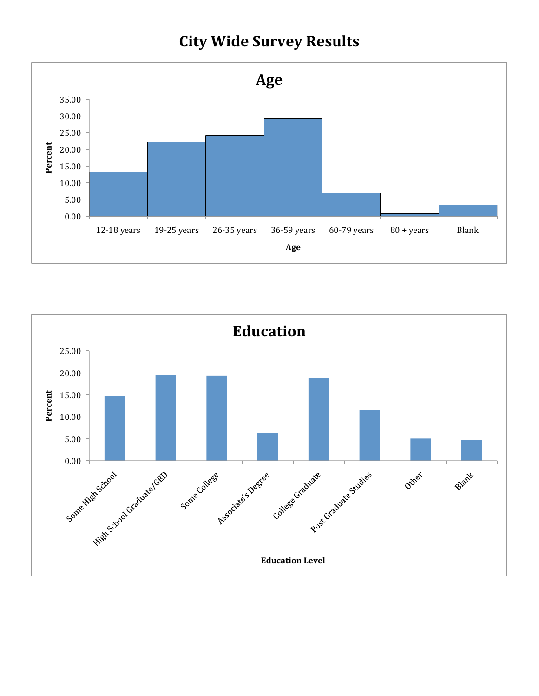## **City Wide Survey Results**



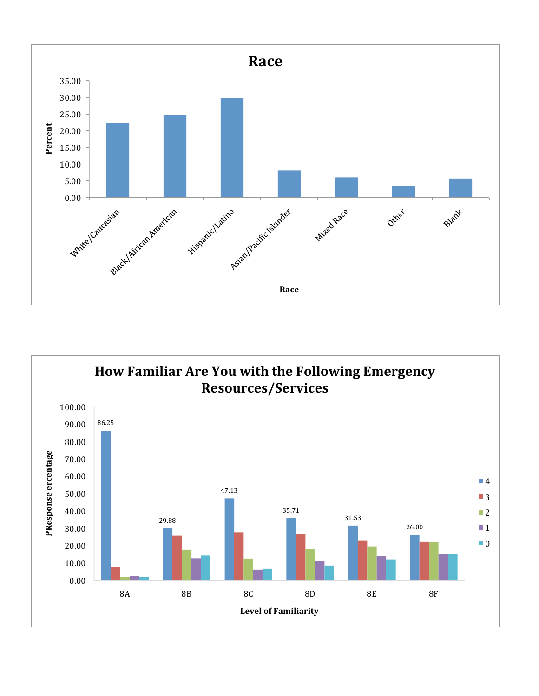